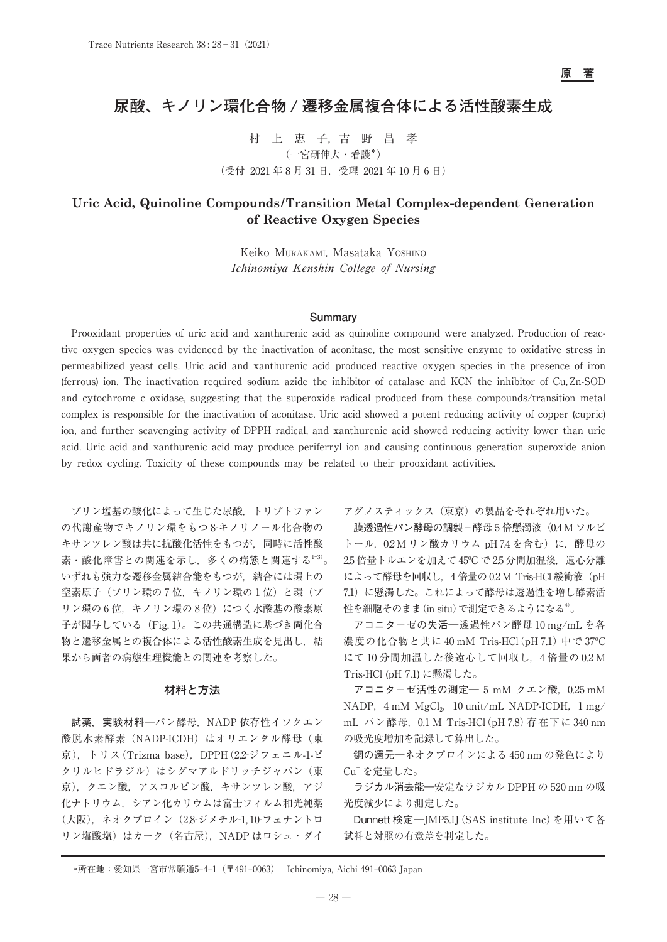# **尿酸、キノリン環化合物 / 遷移金属複合体による活性酸素生成**

村 上 恵 子,吉 野 昌 孝 (一宮研伸大・看護\*) (受付 2021 年 8 月 31 日,受理 2021 年 10 月 6 日)

# **Uric Acid, Quinoline Compounds/Transition Metal Complex-dependent Generation of Reactive Oxygen Species**

Keiko Murakami, Masataka Yoshino Ichinomiya Kenshin College of Nursing

## **Summary**

Prooxidant properties of uric acid and xanthurenic acid as quinoline compound were analyzed. Production of reactive oxygen species was evidenced by the inactivation of aconitase, the most sensitive enzyme to oxidative stress in permeabilized yeast cells. Uric acid and xanthurenic acid produced reactive oxygen species in the presence of iron (ferrous) ion. The inactivation required sodium azide the inhibitor of catalase and KCN the inhibitor of Cu, Zn-SOD and cytochrome c oxidase, suggesting that the superoxide radical produced from these compounds/transition metal complex is responsible for the inactivation of aconitase. Uric acid showed a potent reducing activity of copper (cupric) ion, and further scavenging activity of DPPH radical, and xanthurenic acid showed reducing activity lower than uric acid. Uric acid and xanthurenic acid may produce periferryl ion and causing continuous generation superoxide anion by redox cycling. Toxicity of these compounds may be related to their prooxidant activities.

プリン塩基の酸化によって生じた尿酸,トリプトファン の代謝産物でキノリン環をもつ 8-キノリノール化合物の キサンツレン酸は共に抗酸化活性をもつが,同時に活性酸 素・酸化障害との関連を示し、多くの病態と関連する1-3)。 いずれも強力な遷移金属結合能をもつが,結合には環上の 窒素原子(プリン環の7位,キノリン環の1位)と環(プ リン環の 6 位. キノリン環の 8 位)につく水酸基の酸素原 子が関与している (Fig. 1)。この共通構造に基づき両化合 物と遷移金属との複合体による活性酸素生成を見出し,結 果から両者の病態生理機能との関連を考察した。

#### **材料と方法**

試薬,実験材料––パン酵母, NADP 依存性イソクエン 酸脱水素酵素 (NADP-ICDH) はオリエンタル酵母(東 京),トリス(Trizma base),DPPH(2,2-ジフェニル-1-ピ クリルヒドラジル)はシグマアルドリッチジャパン (東 京),クエン酸,アスコルビン酸,キサンツレン酸,アジ 化ナトリウム,シアン化カリウムは富士フィルム和光純薬 (大阪),ネオクプロイン(2,8-ジメチル-1, 10-フェナントロ リン塩酸塩)はカーク (名古屋), NADP はロシュ・ダイ

アグノスティックス(東京)の製品をそれぞれ用いた。

膜透過性パン酵母の調製-酵母5倍懸濁液 (0.4 M ソルビ トール, 0.2 M リン酸カリウム pH 7.4 を含む)に, 酵母の 2.5 倍量トルエンを加えて45℃で2.5 分間加温後, 遠心分離 によって酵母を回収し,4 倍量の 0.2 M Tris-HCl 緩衝液(pH 7.1)に懸濁した。これによって酵母は透過性を増し酵素活 性を細胞そのまま (in situ) で測定できるようになる<sup>4)</sup>。

アコニターゼの失活―透過性パン酵母 10 mg/mL を各 濃度の化合物と共に 40 mM Tris-HCl(pH 7.1)中で 37ºC にて 10 分間加温した後遠心して回収し,4 倍量の 0.2 M Tris-HCl (pH 7.1) に懸濁した。

 $\nabla$ コニターゼ活性の測定––5 mM クエン酸, 0.25 mM NADP,  $4 \text{ mM } MgCl<sub>2</sub>$ ,  $10 \text{ unit/mL } NADP-ICDH$ ,  $1 \text{ mg}/$ mL パン酵母,0.1 M Tris-HCl(pH 7.8)存在下に 340 nm の吸光度増加を記録して算出した。

銅の還元―ネオクプロインによる 450 nm の発色により Cu+ を定量した。

ラジカル消去能―安定なラジカル DPPH の 520 nm の吸 光度減少により測定した。

Dunnett 検定―JMP5.IJ(SAS institute Inc)を用いて各 試料と対照の有意差を判定した。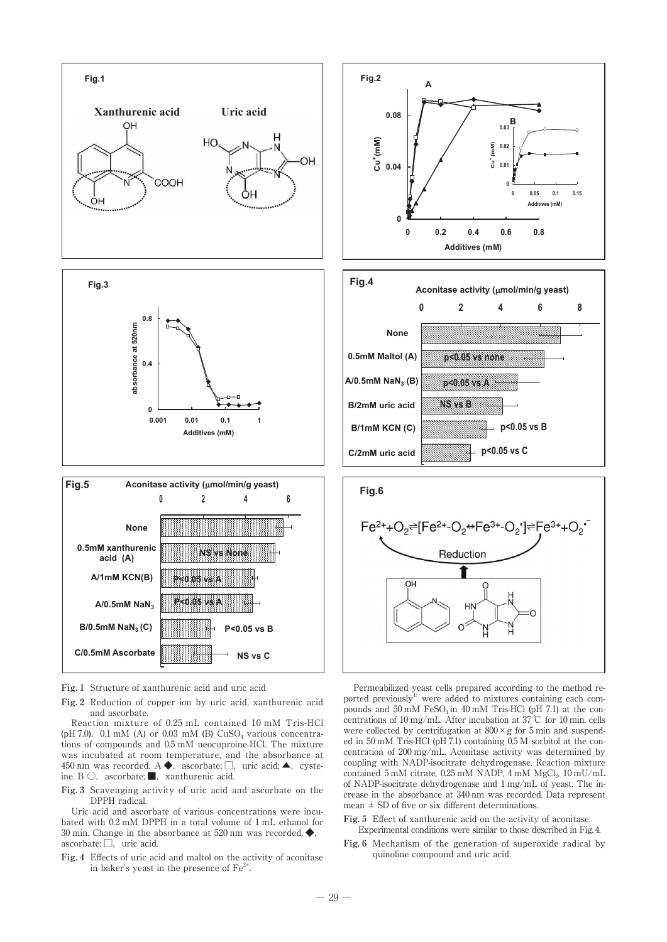

**Fig. 1** Structure of xanthurenic acid and uric acid

**Fig. 2** Reduction of copper ion by uric acid, xanthurenic acid and ascorbate.

Reaction mixture of 0.25 mL contained 10 mM Tris-HCl (pH 7.0), 0.1 mM (A) or 0.03 mM (B)  $CuSO<sub>4</sub>$  various concentrations of compounds and 0.5 mM neocuproine-HCl. The mixture was incubated at room temperature, and the absorbance at 450 nm was recorded.  $A \blacklozenge$ , ascorbate;  $\Box$ , uric acid;  $\blacktriangle$ , cysteine. B  $\bigcirc$ , ascorbate; subsetement acid.

**Fig. 3** Scavenging activity of uric acid and ascorbate on the DPPH radical.

Uric acid and ascorbate of various concentrations were incubated with 0.2 mM DPPH in a total volume of 1 mL ethanol for 30 min. Change in the absorbance at 520 nm was recorded. ◆, ascorbate; □, uric acid.

**Fig. 4** Effects of uric acid and maltol on the activity of aconitase in baker's yeast in the presence of  $Fe<sup>2+</sup>$ .







Permeabilized yeast cells prepared according to the method reported previously $4$  were added to mixtures containing each compounds and  $50 \text{ mM }$  FeSO<sub>4</sub> in  $40 \text{ mM }$  Tris-HCl (pH 7.1) at the concentrations of 10 mg/mL. After incubation at 37 ℃ for 10 min, cells were collected by centrifugation at  $800 \times g$  for 5 min and suspended in 50 mM Tris-HCl (pH 7.1) containing 0.5 M sorbitol at the concentration of 200 mg/mL. Aconitase activity was determined by coupling with NADP-isocitrate dehydrogenase. Reaction mixture contained 5 mM citrate,  $0.25$  mM NADP, 4 mM MgCl<sub>2</sub>, 10 mU/mL of NADP-isocitrate dehydrogenase and 1 mg/mL of yeast. The increase in the absorbance at 340 nm was recorded. Data represent mean  $\pm$  SD of five or six different determinations.

- Fig. 5 Effect of xanthurenic acid on the activity of aconitase. Experimental conditions were similar to those described in Fig. 4.
- **Fig. 6** Mechanism of the generation of superoxide radical by quinoline compound and uric acid.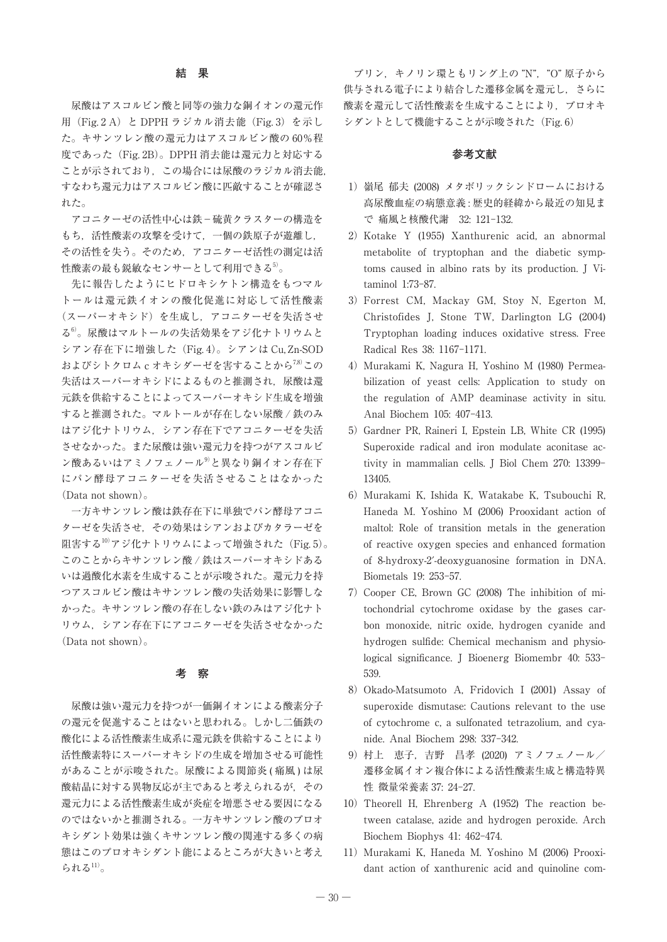## **結 果**

尿酸はアスコルビン酸と同等の強力な銅イオンの還元作 用 (Fig. 2 A) と DPPH ラジカル消去能 (Fig. 3) を示し た。キサンツレン酸の還元力はアスコルビン酸の 60%程 度であった (Fig. 2B)。DPPH 消去能は還元力と対応する ことが示されており、この場合には尿酸のラジカル消去能, すなわち還元力はアスコルビン酸に匹敵することが確認さ れた。

アコニターゼの活性中心は鉄-硫黄クラスターの構造を もち,活性酸素の攻撃を受けて,一個の鉄原子が遊離し, その活性を失う。そのため,アコニターゼ活性の測定は活 性酸素の最も鋭敏なセンサーとして利用できる5)。

先に報告したようにヒドロキシケトン構造をもつマル トールは還元鉄イオンの酸化促進に対応して活性酸素 (スーパーオキシド)を生成し,アコニターゼを失活させ る6)。尿酸はマルトールの失活効果をアジ化ナトリウムと シアン存在下に増強した(Fig. 4)。シアンは Cu, Zn-SOD およびシトクロム c オキシダーゼを害することから<sup>7,8)</sup>この 失活はスーパーオキシドによるものと推測され,尿酸は還 元鉄を供給することによってスーパーオキシド生成を増強 すると推測された。マルトールが存在しない尿酸 / 鉄のみ はアジ化ナトリウム,シアン存在下でアコニターゼを失活 させなかった。また尿酸は強い還元力を持つがアスコルビ ン酸あるいはアミノフェノール9)と異なり銅イオン存在下 にパン酵母アコニターゼを失活させることはなかった (Data not shown)。

一方キサンツレン酸は鉄存在下に単独でパン酵母アコニ ターゼを失活させ,その効果はシアンおよびカタラーゼを 阻害する $10^{10}$ アジ化ナトリウムによって増強された(Fig. 5)。 このことからキサンツレン酸 / 鉄はスーパーオキシドある いは過酸化水素を生成することが示唆された。還元力を持 つアスコルビン酸はキサンツレン酸の失活効果に影響しな かった。キサンツレン酸の存在しない鉄のみはアジ化ナト リウム,シアン存在下にアコニターゼを失活させなかった (Data not shown)。

#### **考 察**

尿酸は強い還元力を持つが一価銅イオンによる酸素分子 の還元を促進することはないと思われる。しかし二価鉄の 酸化による活性酸素生成系に還元鉄を供給することにより 活性酸素特にスーパーオキシドの生成を増加させる可能性 があることが示唆された。尿酸による関節炎 (痛風)は尿 酸結晶に対する異物反応が主であると考えられるが,その 還元力による活性酸素生成が炎症を増悪させる要因になる のではないかと推測される。一方キサンツレン酸のプロオ キシダント効果は強くキサンツレン酸の関連する多くの病 態はこのプロオキシダント能によるところが大きいと考え られる $11$ 。

プリン,キノリン環ともリング上の "N","O" 原子から 供与される電子により結合した遷移金属を還元し,さらに 酸素を還元して活性酸素を生成することにより、プロオキ シダントとして機能することが示唆された (Fig. 6)

# **参考文献**

- 1) 嶺尾 郁夫 (2008) メタボリックシンドロームにおける 高尿酸血症の病態意義 : 歴史的経緯から最近の知見ま で 痛風と核酸代謝 32: 121-132.
- 2)Kotake Y (1955) Xanthurenic acid, an abnormal metabolite of tryptophan and the diabetic symptoms caused in albino rats by its production. J Vitaminol 1:73-87.
- 3)Forrest CM, Mackay GM, Stoy N, Egerton M, Christofides J, Stone TW, Darlington LG (2004) Tryptophan loading induces oxidative stress. Free Radical Res 38: 1167-1171.
- 4)Murakami K, Nagura H, Yoshino M (1980) Permeabilization of yeast cells: Application to study on the regulation of AMP deaminase activity in situ. Anal Biochem 105: 407-413.
- 5) Gardner PR, Raineri I, Epstein LB, White CR (1995) Superoxide radical and iron modulate aconitase activity in mammalian cells. J Biol Chem 270: 13399- 13405.
- 6)Murakami K, Ishida K, Watakabe K, Tsubouchi R, Haneda M. Yoshino M (2006) Prooxidant action of maltol: Role of transition metals in the generation of reactive oxygen species and enhanced formation of 8-hydroxy-2′-deoxyguanosine formation in DNA. Biometals 19: 253-57.
- 7)Cooper CE, Brown GC (2008) The inhibition of mitochondrial cytochrome oxidase by the gases carbon monoxide, nitric oxide, hydrogen cyanide and hydrogen sulfide: Chemical mechanism and physiological significance. J Bioenerg Biomembr 40: 533- 539.
- 8) Okado-Matsumoto A, Fridovich I (2001) Assay of superoxide dismutase: Cautions relevant to the use of cytochrome c, a sulfonated tetrazolium, and cyanide. Anal Biochem 298: 337-342.
- 9)村上 恵子,吉野 昌孝 (2020) アミノフェノール/ 遷移金属イオン複合体による活性酸素生成と構造特異 性 微量栄養素 37: 24-27.
- 10) Theorell H, Ehrenberg A (1952) The reaction between catalase, azide and hydrogen peroxide. Arch Biochem Biophys 41: 462-474.
- 11)Murakami K, Haneda M. Yoshino M (2006) Prooxidant action of xanthurenic acid and quinoline com-